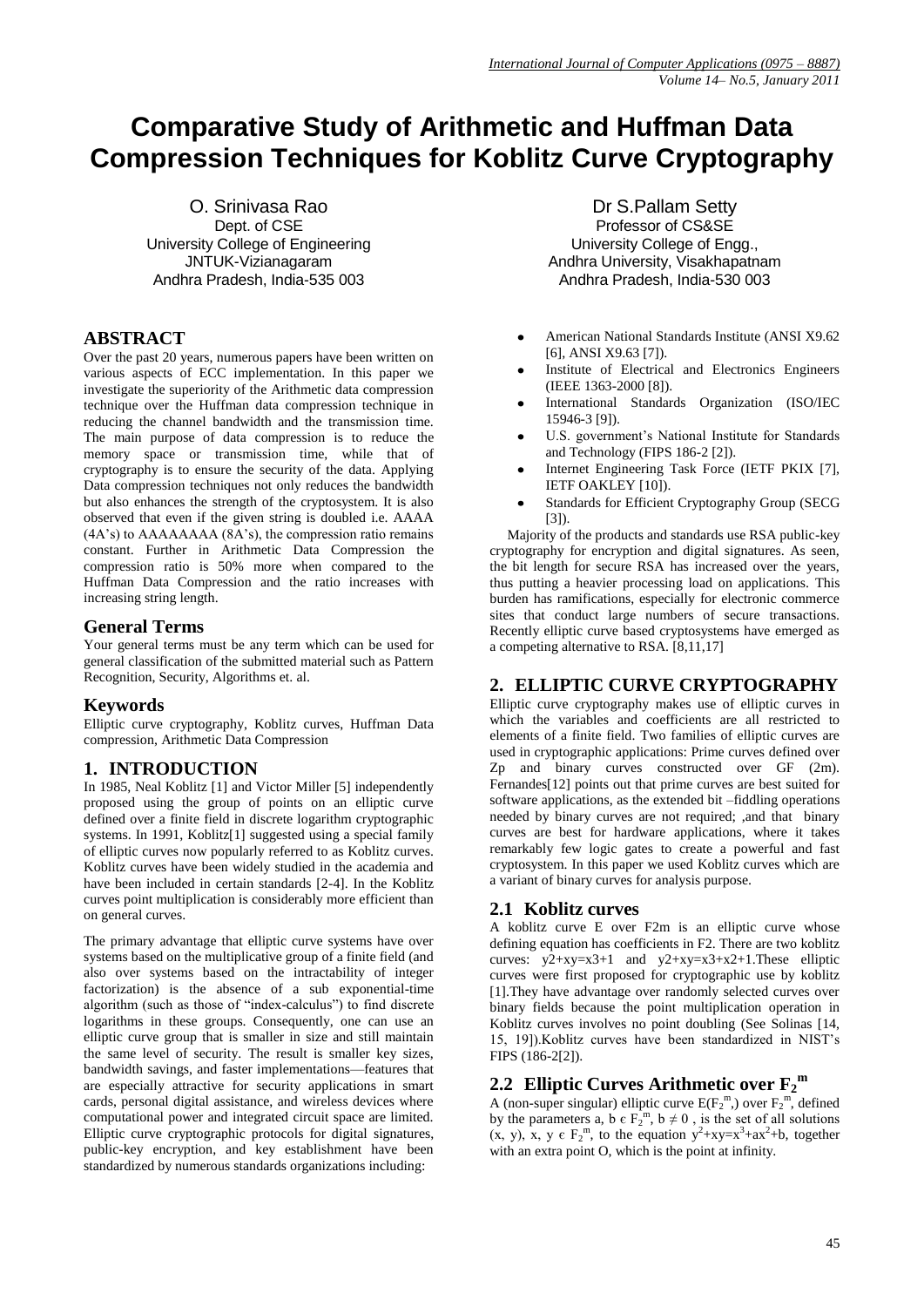# **Comparative Study of Arithmetic and Huffman Data Compression Techniques for Koblitz Curve Cryptography**

O. Srinivasa Rao Dept. of CSE University College of Engineering JNTUK-Vizianagaram Andhra Pradesh, India-535 003

# **ABSTRACT**

Over the past 20 years, numerous papers have been written on various aspects of ECC implementation. In this paper we investigate the superiority of the Arithmetic data compression technique over the Huffman data compression technique in reducing the channel bandwidth and the transmission time. The main purpose of data compression is to reduce the memory space or transmission time, while that of cryptography is to ensure the security of the data. Applying Data compression techniques not only reduces the bandwidth but also enhances the strength of the cryptosystem. It is also observed that even if the given string is doubled i.e. AAAA (4A's) to AAAAAAAA (8A's), the compression ratio remains constant. Further in Arithmetic Data Compression the compression ratio is 50% more when compared to the Huffman Data Compression and the ratio increases with increasing string length.

#### **General Terms**

Your general terms must be any term which can be used for general classification of the submitted material such as Pattern Recognition, Security, Algorithms et. al.

#### **Keywords**

Elliptic curve cryptography, Koblitz curves, Huffman Data compression, Arithmetic Data Compression

## **1. INTRODUCTION**

In 1985, Neal Koblitz [1] and Victor Miller [5] independently proposed using the group of points on an elliptic curve defined over a finite field in discrete logarithm cryptographic systems. In 1991, Koblitz[1] suggested using a special family of elliptic curves now popularly referred to as Koblitz curves. Koblitz curves have been widely studied in the academia and have been included in certain standards [2-4]. In the Koblitz curves point multiplication is considerably more efficient than on general curves.

The primary advantage that elliptic curve systems have over systems based on the multiplicative group of a finite field (and also over systems based on the intractability of integer factorization) is the absence of a sub exponential-time algorithm (such as those of "index-calculus") to find discrete logarithms in these groups. Consequently, one can use an elliptic curve group that is smaller in size and still maintain the same level of security. The result is smaller key sizes, bandwidth savings, and faster implementations—features that are especially attractive for security applications in smart cards, personal digital assistance, and wireless devices where computational power and integrated circuit space are limited. Elliptic curve cryptographic protocols for digital signatures, public-key encryption, and key establishment have been standardized by numerous standards organizations including:

Dr S.Pallam Setty Professor of CS&SE University College of Engg., Andhra University, Visakhapatnam Andhra Pradesh, India-530 003

- American National Standards Institute (ANSI X9.62 [6], ANSI X9.63 [7]).
- Institute of Electrical and Electronics Engineers (IEEE 1363-2000 [8]).
- International Standards Organization (ISO/IEC 15946-3 [9]).
- U.S. government's National Institute for Standards and Technology (FIPS 186-2 [2]).
- Internet Engineering Task Force (IETF PKIX [7], IETF OAKLEY [10]).
- Standards for Efficient Cryptography Group (SECG [3]).

 Majority of the products and standards use RSA public-key cryptography for encryption and digital signatures. As seen, the bit length for secure RSA has increased over the years, thus putting a heavier processing load on applications. This burden has ramifications, especially for electronic commerce sites that conduct large numbers of secure transactions. Recently elliptic curve based cryptosystems have emerged as a competing alternative to RSA. [8,11,17]

## **2. ELLIPTIC CURVE CRYPTOGRAPHY**

Elliptic curve cryptography makes use of elliptic curves in which the variables and coefficients are all restricted to elements of a finite field. Two families of elliptic curves are used in cryptographic applications: Prime curves defined over Zp and binary curves constructed over GF (2m). Fernandes[12] points out that prime curves are best suited for software applications, as the extended bit –fiddling operations needed by binary curves are not required; ,and that binary curves are best for hardware applications, where it takes remarkably few logic gates to create a powerful and fast cryptosystem. In this paper we used Koblitz curves which are a variant of binary curves for analysis purpose.

# **2.1 Koblitz curves**

A koblitz curve E over F2m is an elliptic curve whose defining equation has coefficients in F2. There are two koblitz curves:  $y2+xy=x3+1$  and  $y2+xy=x3+x2+1$ . These elliptic curves were first proposed for cryptographic use by koblitz [1].They have advantage over randomly selected curves over binary fields because the point multiplication operation in Koblitz curves involves no point doubling (See Solinas [14, 15, 19]).Koblitz curves have been standardized in NIST's FIPS (186-2[2]).

# **2.2 Elliptic Curves Arithmetic over F<sup>2</sup> m**

A (non-super singular) elliptic curve  $E(F_2^m)$  over  $F_2^m$ , defined by the parameters a, b  $\epsilon$   $F_2^m$ , b  $\neq$  0, is the set of all solutions  $(x, y)$ , x, y  $\epsilon$  F<sub>2</sub><sup>m</sup>, to the equation  $y^2+xy=x^3+ax^2+b$ , together with an extra point O, which is the point at infinity.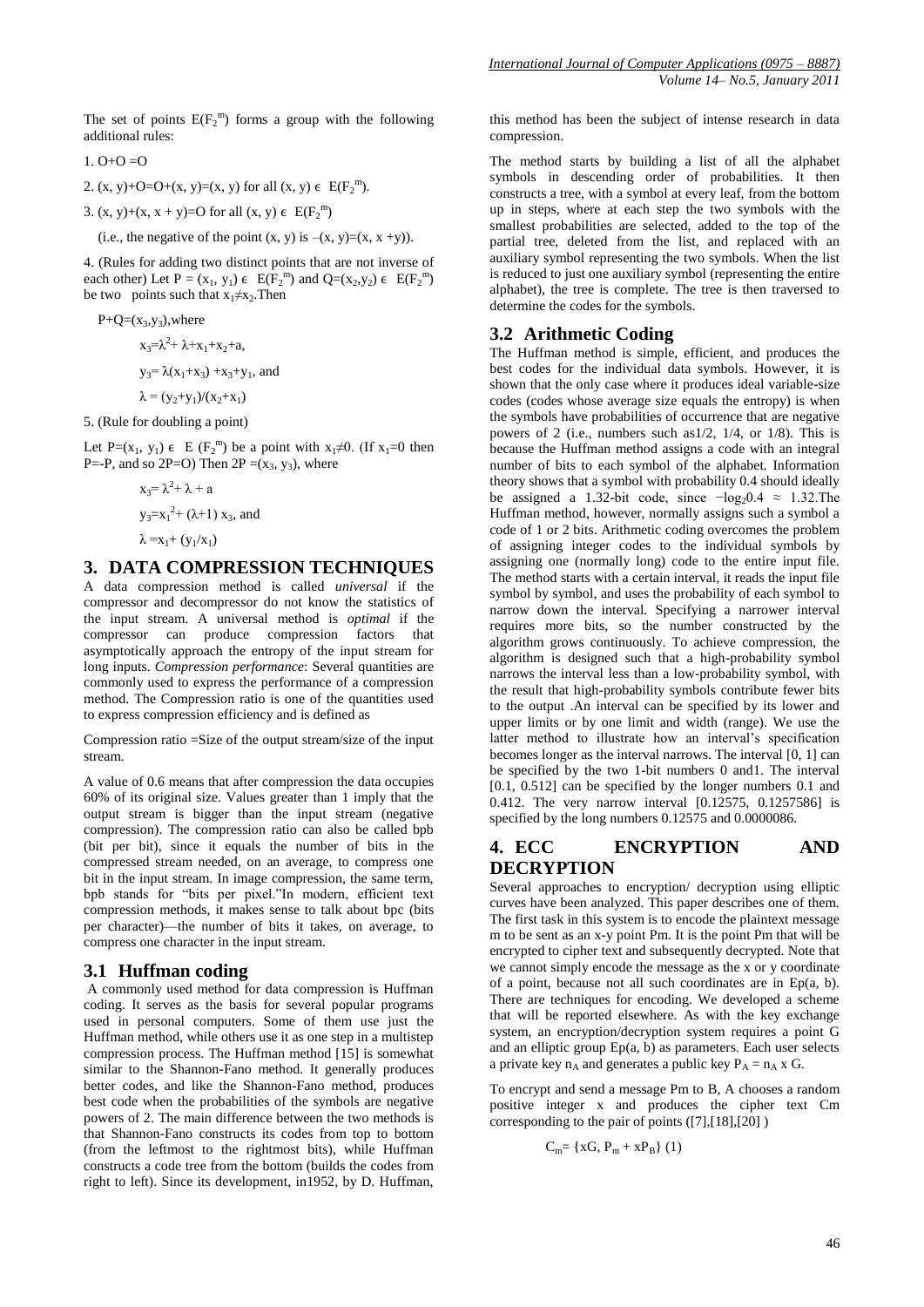$$
1. O+O=O
$$

2.  $(x, y)+O=O+(x, y)=(x, y)$  for all  $(x, y) \in E(F_2^m)$ .

3.  $(x, y)+(x, x+y)=0$  for all  $(x, y) \in E(F_2^m)$ 

(i.e., the negative of the point  $(x, y)$  is  $-(x, y)=(x, x+y)$ ).

4. (Rules for adding two distinct points that are not inverse of each other) Let  $P = (x_1, y_1) \in E(F_2^m)$  and  $Q=(x_2, y_2) \in E(F_2^m)$ be two points such that  $x_1 \neq x_2$ . Then

 $P+Q=(x_3,y_3)$ , where  $x_3 = \lambda^2 + \lambda + x_1 + x_2 + a$ ,  $y_3 = \lambda(x_1 + x_3) + x_3 + y_1$ , and  $\lambda = (y_2+y_1)/(x_2+x_1)$ 5. (Rule for doubling a point)

Let P=( $x_1$ ,  $y_1$ )  $\in$  E ( $F_2^m$ ) be a point with  $x_1 \neq 0$ . (If  $x_1 = 0$  then P=-P, and so 2P=O) Then  $2P = (x_3, y_3)$ , where

$$
x_3 = \lambda^2 + \lambda + a
$$
  
\n
$$
y_3 = x_1^2 + (\lambda + 1) x_3
$$
, and  
\n
$$
\lambda = x_1 + (y_1/x_1)
$$

#### **3. DATA COMPRESSION TECHNIQUES**

A data compression method is called *universal* if the compressor and decompressor do not know the statistics of the input stream. A universal method is *optimal* if the compressor can produce compression factors that asymptotically approach the entropy of the input stream for long inputs. *Compression performance*: Several quantities are commonly used to express the performance of a compression method. The Compression ratio is one of the quantities used to express compression efficiency and is defined as

Compression ratio =Size of the output stream/size of the input stream.

A value of 0.6 means that after compression the data occupies 60% of its original size. Values greater than 1 imply that the output stream is bigger than the input stream (negative compression). The compression ratio can also be called bpb (bit per bit), since it equals the number of bits in the compressed stream needed, on an average, to compress one bit in the input stream. In image compression, the same term, bpb stands for "bits per pixel."In modern, efficient text compression methods, it makes sense to talk about bpc (bits per character)—the number of bits it takes, on average, to compress one character in the input stream.

#### **3.1 Huffman coding**

A commonly used method for data compression is Huffman coding. It serves as the basis for several popular programs used in personal computers. Some of them use just the Huffman method, while others use it as one step in a multistep compression process. The Huffman method [15] is somewhat similar to the Shannon-Fano method. It generally produces better codes, and like the Shannon-Fano method, produces best code when the probabilities of the symbols are negative powers of 2. The main difference between the two methods is that Shannon-Fano constructs its codes from top to bottom (from the leftmost to the rightmost bits), while Huffman constructs a code tree from the bottom (builds the codes from right to left). Since its development, in1952, by D. Huffman, this method has been the subject of intense research in data compression.

The method starts by building a list of all the alphabet symbols in descending order of probabilities. It then constructs a tree, with a symbol at every leaf, from the bottom up in steps, where at each step the two symbols with the smallest probabilities are selected, added to the top of the partial tree, deleted from the list, and replaced with an auxiliary symbol representing the two symbols. When the list is reduced to just one auxiliary symbol (representing the entire alphabet), the tree is complete. The tree is then traversed to determine the codes for the symbols.

#### **3.2 Arithmetic Coding**

The Huffman method is simple, efficient, and produces the best codes for the individual data symbols. However, it is shown that the only case where it produces ideal variable-size codes (codes whose average size equals the entropy) is when the symbols have probabilities of occurrence that are negative powers of 2 (i.e., numbers such as1/2, 1/4, or 1/8). This is because the Huffman method assigns a code with an integral number of bits to each symbol of the alphabet. Information theory shows that a symbol with probability 0.4 should ideally be assigned a 1.32-bit code, since  $-\log_2 0.4 \approx 1.32$ . The Huffman method, however, normally assigns such a symbol a code of 1 or 2 bits. Arithmetic coding overcomes the problem of assigning integer codes to the individual symbols by assigning one (normally long) code to the entire input file. The method starts with a certain interval, it reads the input file symbol by symbol, and uses the probability of each symbol to narrow down the interval. Specifying a narrower interval requires more bits, so the number constructed by the algorithm grows continuously. To achieve compression, the algorithm is designed such that a high-probability symbol narrows the interval less than a low-probability symbol, with the result that high-probability symbols contribute fewer bits to the output .An interval can be specified by its lower and upper limits or by one limit and width (range). We use the latter method to illustrate how an interval's specification becomes longer as the interval narrows. The interval [0, 1] can be specified by the two 1-bit numbers 0 and1. The interval [0.1, 0.512] can be specified by the longer numbers 0.1 and 0.412. The very narrow interval [0.12575, 0.1257586] is specified by the long numbers 0.12575 and 0.0000086.

#### **4. ECC ENCRYPTION AND DECRYPTION**

Several approaches to encryption/ decryption using elliptic curves have been analyzed. This paper describes one of them. The first task in this system is to encode the plaintext message m to be sent as an x-y point Pm. It is the point Pm that will be encrypted to cipher text and subsequently decrypted. Note that we cannot simply encode the message as the x or y coordinate of a point, because not all such coordinates are in Ep(a, b). There are techniques for encoding. We developed a scheme that will be reported elsewhere. As with the key exchange system, an encryption/decryption system requires a point G and an elliptic group  $Ep(a, b)$  as parameters. Each user selects a private key  $n_A$  and generates a public key  $P_A = n_A x G$ .

To encrypt and send a message Pm to B, A chooses a random positive integer x and produces the cipher text Cm corresponding to the pair of points  $([7],[18],[20])$ 

$$
C_m = \{xG, P_m + xP_B\} (1)
$$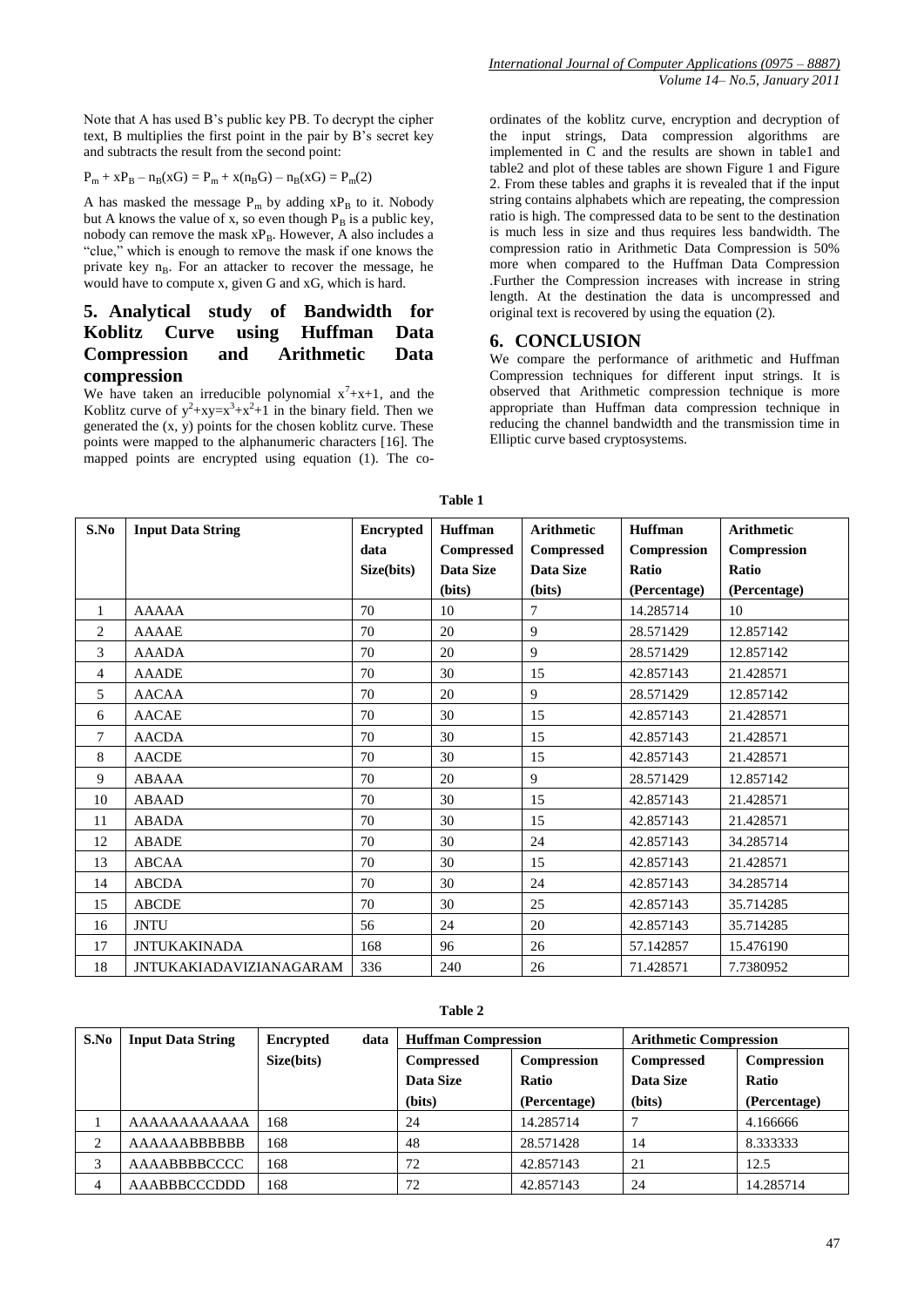Note that A has used B's public key PB. To decrypt the cipher text, B multiplies the first point in the pair by B's secret key and subtracts the result from the second point:

$$
P_m + xP_B - n_B(xG) = P_m + x(n_BG) - n_B(xG) = P_m(2)
$$

A has masked the message  $P_m$  by adding  $xP_B$  to it. Nobody but A knows the value of x, so even though  $P_B$  is a public key, nobody can remove the mask  $xP_B$ . However, A also includes a "clue," which is enough to remove the mask if one knows the private key  $n_B$ . For an attacker to recover the message, he would have to compute x, given G and xG, which is hard.

# **5. Analytical study of Bandwidth for Koblitz Curve using Huffman Data Compression and Arithmetic Data compression**

We have taken an irreducible polynomial  $x^7+x+1$ , and the Koblitz curve of  $y^2+xy=x^3+x^2+1$  in the binary field. Then we generated the (x, y) points for the chosen koblitz curve. These points were mapped to the alphanumeric characters [16]. The mapped points are encrypted using equation (1). The coordinates of the koblitz curve, encryption and decryption of the input strings, Data compression algorithms are implemented in C and the results are shown in table1 and table2 and plot of these tables are shown Figure 1 and Figure 2. From these tables and graphs it is revealed that if the input string contains alphabets which are repeating, the compression ratio is high. The compressed data to be sent to the destination is much less in size and thus requires less bandwidth. The compression ratio in Arithmetic Data Compression is 50% more when compared to the Huffman Data Compression .Further the Compression increases with increase in string length. At the destination the data is uncompressed and original text is recovered by using the equation (2).

#### **6. CONCLUSION**

We compare the performance of arithmetic and Huffman Compression techniques for different input strings. It is observed that Arithmetic compression technique is more appropriate than Huffman data compression technique in reducing the channel bandwidth and the transmission time in Elliptic curve based cryptosystems.

| S.No | <b>Input Data String</b>       | Encrypted  | <b>Huffman</b>    | <b>Arithmetic</b> | <b>Huffman</b> | <b>Arithmetic</b> |
|------|--------------------------------|------------|-------------------|-------------------|----------------|-------------------|
|      |                                | data       | <b>Compressed</b> | <b>Compressed</b> | Compression    | Compression       |
|      |                                | Size(bits) | Data Size         | Data Size         | <b>Ratio</b>   | Ratio             |
|      |                                |            | (bits)            | (bits)            | (Percentage)   | (Percentage)      |
| 1    | <b>AAAAA</b>                   | 70         | 10                | 7                 | 14.285714      | 10                |
| 2    | <b>AAAAE</b>                   | 70         | 20                | 9                 | 28.571429      | 12.857142         |
| 3    | <b>AAADA</b>                   | 70         | 20                | 9                 | 28.571429      | 12.857142         |
| 4    | <b>AAADE</b>                   | 70         | 30                | 15                | 42.857143      | 21.428571         |
| 5    | <b>AACAA</b>                   | 70         | 20                | 9                 | 28.571429      | 12.857142         |
| 6    | <b>AACAE</b>                   | 70         | 30                | 15                | 42.857143      | 21.428571         |
| 7    | <b>AACDA</b>                   | 70         | 30                | 15                | 42.857143      | 21.428571         |
| 8    | <b>AACDE</b>                   | 70         | 30                | 15                | 42.857143      | 21.428571         |
| 9    | <b>ABAAA</b>                   | 70         | 20                | 9                 | 28.571429      | 12.857142         |
| 10   | <b>ABAAD</b>                   | 70         | 30                | 15                | 42.857143      | 21.428571         |
| 11   | <b>ABADA</b>                   | 70         | 30                | 15                | 42.857143      | 21.428571         |
| 12   | <b>ABADE</b>                   | 70         | 30                | 24                | 42.857143      | 34.285714         |
| 13   | <b>ABCAA</b>                   | 70         | 30                | 15                | 42.857143      | 21.428571         |
| 14   | <b>ABCDA</b>                   | 70         | 30                | 24                | 42.857143      | 34.285714         |
| 15   | <b>ABCDE</b>                   | 70         | 30                | 25                | 42.857143      | 35.714285         |
| 16   | <b>JNTU</b>                    | 56         | 24                | 20                | 42.857143      | 35.714285         |
| 17   | <b>JNTUKAKINADA</b>            | 168        | 96                | 26                | 57.142857      | 15.476190         |
| 18   | <b>JNTUKAKIADAVIZIANAGARAM</b> | 336        | 240               | 26                | 71.428571      | 7.7380952         |

**Table 1**

#### **Table 2**

| S.No           | <b>Input Data String</b> | <b>Encrypted</b><br>data | <b>Huffman Compression</b> |              | <b>Arithmetic Compression</b> |              |
|----------------|--------------------------|--------------------------|----------------------------|--------------|-------------------------------|--------------|
|                |                          | Size(bits)               | <b>Compressed</b>          | Compression  | <b>Compressed</b>             | Compression  |
|                |                          |                          | Data Size                  | <b>Ratio</b> | Data Size                     | <b>Ratio</b> |
|                |                          |                          | (bits)                     | (Percentage) | (bits)                        | (Percentage) |
|                | AAAAAAAAAAAA             | 168                      | 24                         | 14.285714    |                               | 4.166666     |
| ◠<br>∠         | AAAAAABBBBBBB            | 168                      | 48                         | 28.571428    | 14                            | 8.333333     |
| $\overline{a}$ | AAAABBBBCCCC             | 168                      | 72                         | 42.857143    | 21                            | 12.5         |
|                | AAABBBCCCDDD             | 168                      | 72                         | 42.857143    | 24                            | 14.285714    |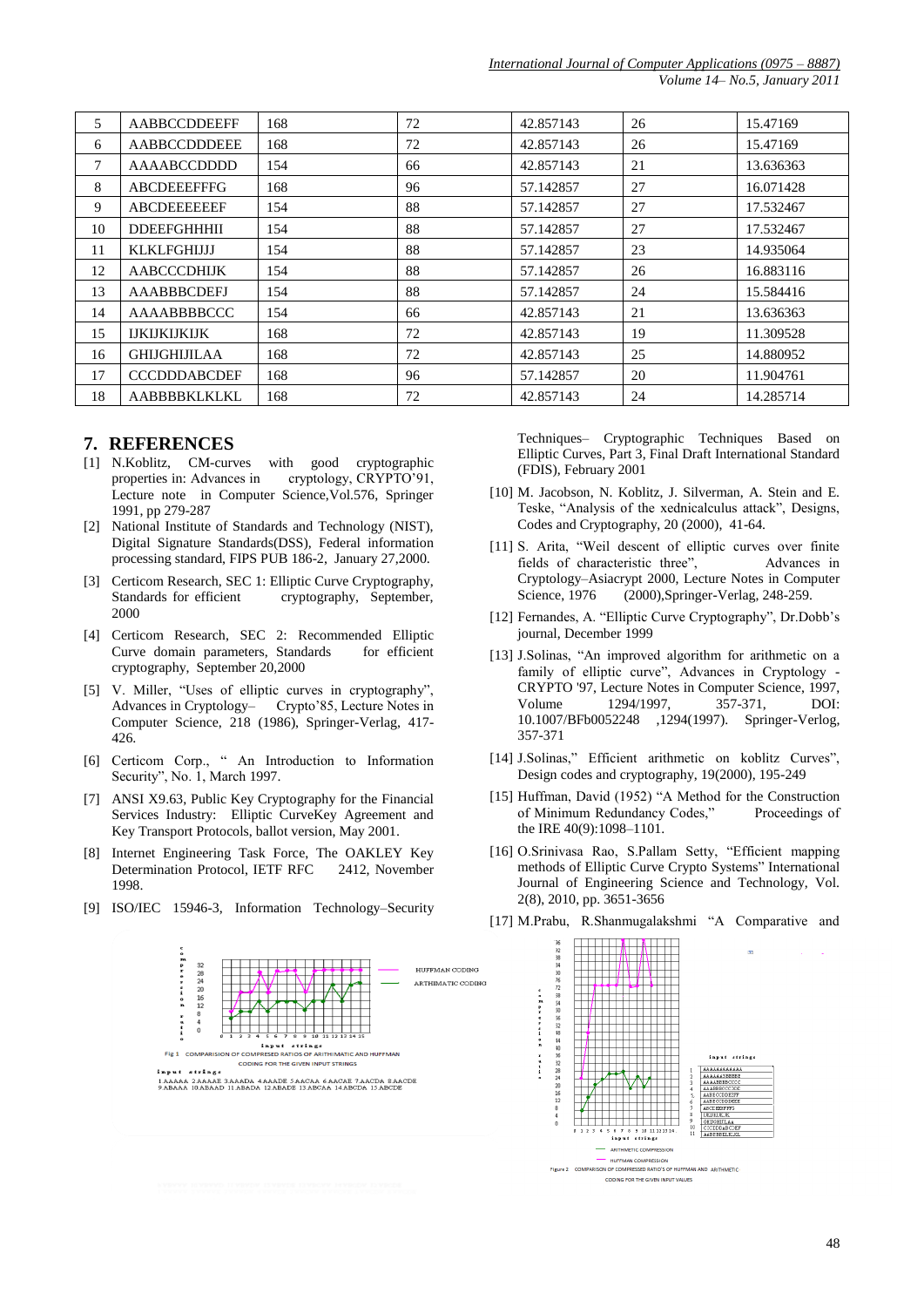*International Journal of Computer Applications (0975 – 8887) Volume 14– No.5, January 2011*

| 5  | <b>AABBCCDDEEFF</b> | 168 | 72 | 42.857143 | 26 | 15.47169  |
|----|---------------------|-----|----|-----------|----|-----------|
| 6  | AABBCCDDDEEE        | 168 | 72 | 42.857143 | 26 | 15.47169  |
| 7  | AAAABCCDDDD         | 154 | 66 | 42.857143 | 21 | 13.636363 |
| 8  | <b>ABCDEEEFFFG</b>  | 168 | 96 | 57.142857 | 27 | 16.071428 |
| 9  | <b>ABCDEEEEEEF</b>  | 154 | 88 | 57.142857 | 27 | 17.532467 |
| 10 | <b>DDEEFGHHHII</b>  | 154 | 88 | 57.142857 | 27 | 17.532467 |
| 11 | <b>KLKLFGHIJJ</b>   | 154 | 88 | 57.142857 | 23 | 14.935064 |
| 12 | <b>AABCCCDHIJK</b>  | 154 | 88 | 57.142857 | 26 | 16.883116 |
| 13 | <b>AAABBBCDEFJ</b>  | 154 | 88 | 57.142857 | 24 | 15.584416 |
| 14 | AAAABBBBCCC         | 154 | 66 | 42.857143 | 21 | 13.636363 |
| 15 | <b>IJKIJKIJKIJK</b> | 168 | 72 | 42.857143 | 19 | 11.309528 |
| 16 | <b>GHIJGHIJILAA</b> | 168 | 72 | 42.857143 | 25 | 14.880952 |
| 17 | <b>CCCDDDABCDEF</b> | 168 | 96 | 57.142857 | 20 | 11.904761 |
| 18 | <b>AABBBBKLKLKL</b> | 168 | 72 | 42.857143 | 24 | 14.285714 |
|    |                     |     |    |           |    |           |

HUFFMAN CODING

ARTHIMATIC CODING

#### **7. REFERENCES**

- [1] N.Koblitz, CM-curves with good cryptographic properties in: Advances in cryptology, CRYPTO'91, Lecture note in Computer Science,Vol.576, Springer 1991, pp 279-287
- [2] National Institute of Standards and Technology (NIST), Digital Signature Standards(DSS), Federal information processing standard, FIPS PUB 186-2, January 27,2000.
- [3] Certicom Research, SEC 1: Elliptic Curve Cryptography, Standards for efficient cryptography, September, 2000
- [4] Certicom Research, SEC 2: Recommended Elliptic Curve domain parameters, Standards for efficient cryptography, September 20,2000
- [5] V. Miller, "Uses of elliptic curves in cryptography", Advances in Cryptology– Crypto'85, Lecture Notes in Computer Science, 218 (1986), Springer-Verlag, 417- 426.
- [6] Certicom Corp., " An Introduction to Information Security", No. 1, March 1997.
- [7] ANSI X9.63, Public Key Cryptography for the Financial Services Industry: Elliptic CurveKey Agreement and Key Transport Protocols, ballot version, May 2001.
- [8] Internet Engineering Task Force, The OAKLEY Key Determination Protocol, IETF RFC 2412, November 1998.
- [9] ISO/IEC 15946-3, Information Technology–Security

input strings<br>ESED RATIOS OF ARITHIMATION

F COMPRESED RATIOS OF ARITHIMATIC A CODING FOR THE GIVEN INPUT STRINGS

 $1.\mathtt{AAAAA}$ 2.AAAAE 3.AAADA 4.AAADE 5.AACAA 6.AACAE 7.AACD<br/>A 3.AACDE 9.ABAAA 10.ABAAD 11.ABADA 12.ABADE 13.ABCAA 14.ABCDA 15.ABCDE

**compression**  $\overline{3}$ 

 $\begin{array}{c}\n\mathbf{r} \\
\mathbf{a} \\
\mathbf{t} \\
\mathbf{i}\n\end{array}$  $\begin{smallmatrix} 4\\ 0 \end{smallmatrix}$ 

Fig 1 COMPARISIO

 $\begin{array}{c} 28 \\ 24 \\ 20 \\ 16 \\ 12 \\ 8 \end{array}$ 

Techniques– Cryptographic Techniques Based on Elliptic Curves, Part 3, Final Draft International Standard (FDIS), February 2001

- [10] M. Jacobson, N. Koblitz, J. Silverman, A. Stein and E. Teske, "Analysis of the xednicalculus attack", Designs, Codes and Cryptography, 20 (2000), 41-64.
- [11] S. Arita, "Weil descent of elliptic curves over finite fields of characteristic three", Advances in Cryptology–Asiacrypt 2000, Lecture Notes in Computer Science, 1976 (2000), Springer-Verlag, 248-259.
- [12] Fernandes, A. "Elliptic Curve Cryptography", Dr.Dobb's journal, December 1999
- [13] J.Solinas, "An improved algorithm for arithmetic on a family of elliptic curve", Advances in Cryptology -CRYPTO '97, Lecture Notes in Computer Science, 1997, Volume 1294/1997, 357-371, DOI: 10.1007/BFb0052248 ,1294(1997). Springer-Verlog, 357-371
- [14] J.Solinas," Efficient arithmetic on koblitz Curves", Design codes and cryptography, 19(2000), 195-249
- [15] Huffman, David (1952) "A Method for the Construction of Minimum Redundancy Codes," Proceedings of the IRE 40(9):1098–1101.
- [16] O.Srinivasa Rao, S.Pallam Setty, "Efficient mapping methods of Elliptic Curve Crypto Systems" International Journal of Engineering Science and Technology, Vol. 2(8), 2010, pp. 3651-3656
- [17] M.Prabu, R.Shanmugalakshmi "A Comparative and